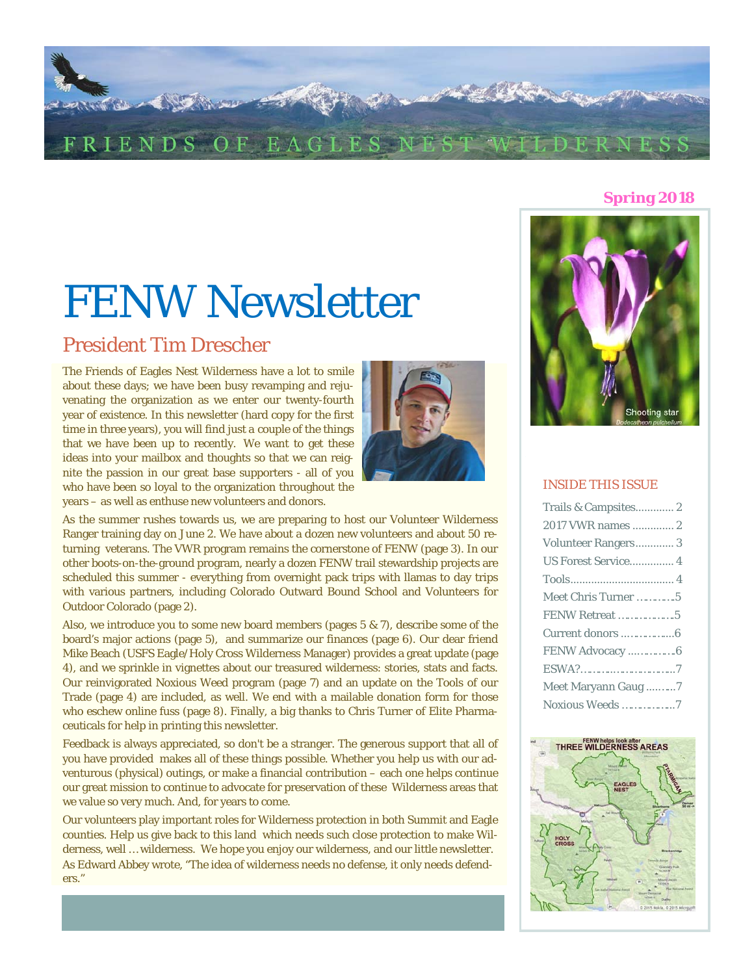

#### **Spring 2018**

# FENW Newsletter

## President Tim Drescher

j

The Friends of Eagles Nest Wilderness have a lot to smile about these days; we have been busy revamping and rejuvenating the organization as we enter our twenty-fourth year of existence. In this newsletter (hard copy for the first time in three years), you will find just *a couple* of the things that we have been up to recently. We want to get these ideas into your mailbox and thoughts so that we can reignite the passion in our great base supporters - all of you who have been so loyal to the organization throughout the years – as well as enthuse new volunteers and donors.



As the summer rushes towards us, we are preparing to host our Volunteer Wilderness Ranger training day on June 2. We have about a dozen new volunteers and about 50 returning veterans. The VWR program remains the cornerstone of FENW (page 3). In our other boots-on-the-ground program, nearly a dozen FENW trail stewardship projects are scheduled this summer - everything from overnight pack trips with llamas to day trips with various partners, including Colorado Outward Bound School and Volunteers for Outdoor Colorado (page 2).

Also, we introduce you to some new board members (pages  $5 \& 7$ ), describe some of the board's major actions (page 5), and summarize our finances (page 6). Our dear friend Mike Beach (USFS Eagle/Holy Cross Wilderness Manager) provides a great update (page 4), and we sprinkle in vignettes about our treasured wilderness: stories, stats and facts. Our reinvigorated Noxious Weed program (page 7) and an update on the Tools of our Trade (page 4) are included, as well. We end with a mailable donation form for those who eschew online fuss (page 8). Finally, a big thanks to Chris Turner of Elite Pharmaceuticals for help in printing this newsletter.

Feedback is always appreciated, so don't be a stranger. The generous support that all of you have provided makes all of these things possible. Whether you help us with our adventurous (physical) outings, or make a financial contribution – each one helps continue our great mission to continue to advocate for preservation of these Wilderness areas that we value so very much. And, for years to come.

Our volunteers play important roles for Wilderness protection in both Summit and Eagle counties. Help us give back to this land which needs such close protection to make Wilderness, well … wilderness. We hope you enjoy our wilderness, and our little newsletter. As Edward Abbey wrote, "The idea of wilderness needs no defense, it only needs defenders."



#### INSIDE THIS ISSUE

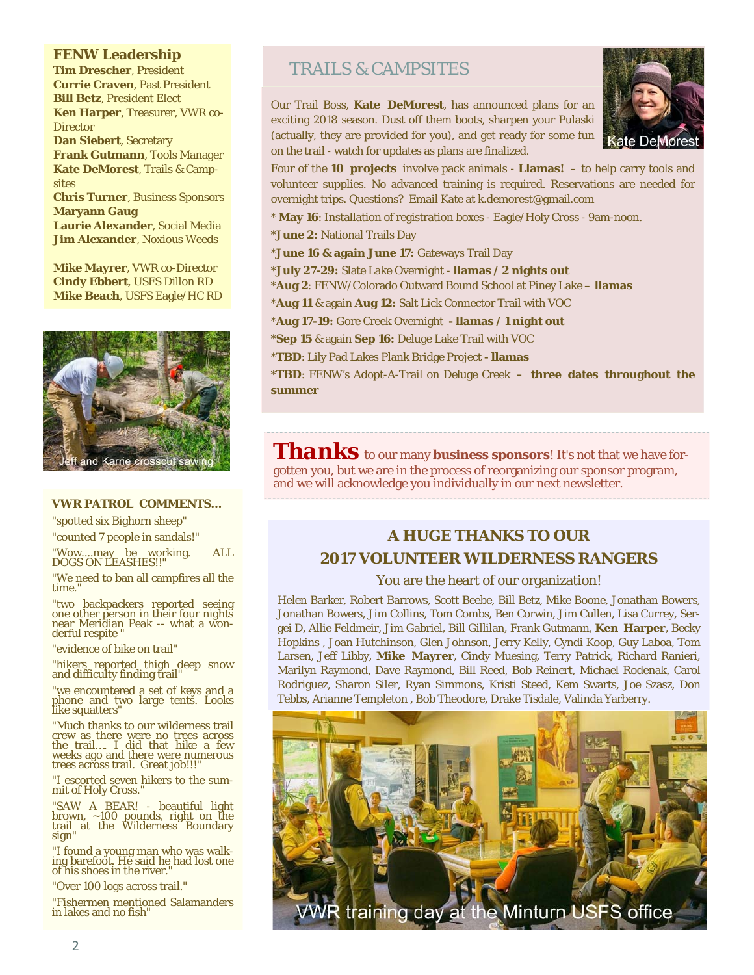#### **FENW Leadership**

**Tim Drescher**, President **Currie Craven**, Past President **Bill Betz**, President Elect **Ken Harper**, Treasurer, VWR co-**Director Dan Siebert**, Secretary **Frank Gutmann**, Tools Manager **Kate DeMorest**, Trails & Campsites **Chris Turner**, Business Sponsors **Maryann Gaug Laurie Alexander**, Social Media **Jim Alexander**, Noxious Weeds

**Mike Mayrer**, VWR co-Director **Cindy Ebbert**, USFS Dillon RD **Mike Beach**, USFS Eagle/HC RD



#### **VWR PATROL COMMENTS...**

"spotted six Bighorn sheep"

"counted 7 people in sandals!"

"Wow....may be working. ALL DOGS ON LEASHES!!"

"We need to ban all campfires all the time.

"two backpackers reported seeing one other person in their four nights near Meridian Peak -- what a wonderful respite

"evidence of bike on trail"

"hikers reported thigh deep snow and difficulty finding trail'

"we encountered a set of keys and a phone and two large tents. Looks like squatters"

"Much thanks to our wilderness trail crew as there were no trees across the trail…. I did that hike a few weeks ago and there were numerous trees across trail. Great job!!!"

"I escorted seven hikers to the sum-mit of Holy Cross."

"SAW A BEAR! - beautiful light brown, ~100 pounds, right on the trail at the Wilderness Boundary sign"

"I found a young man who was walking barefoot. He said he had lost one of his shoes in the river."

"Over 100 logs across trail."

"Fishermen mentioned Salamanders in lakes and no fish"

## TRAILS & CAMPSITES

**Kate DeMorest** 

Our Trail Boss, **Kate DeMorest**, has announced plans for an exciting 2018 season. Dust off them boots, sharpen your Pulaski (actually, they are provided for you), and get ready for some fun on the trail - watch for updates as plans are finalized.

Four of the **10 projects** involve pack animals - **Llamas!** – to help carry tools and volunteer supplies. No advanced training is required. Reservations are needed for overnight trips. Questions? Email Kate at k.demorest@gmail.com

- \* **May 16**: Installation of registration boxes Eagle/Holy Cross 9am-noon.
- \***June 2:** National Trails Day
- \***June 16 & again June 17:** Gateways Trail Day
- **\*July 27-29:** Slate Lake Overnight **llamas / 2 nights out**
- \***Aug 2**: FENW/Colorado Outward Bound School at Piney Lake **llamas**
- \***Aug 11** & again **Aug 12:** Salt Lick Connector Trail with VOC
- \***Aug 17-19:** Gore Creek Overnight  **llamas / 1 night out**
- \***Sep 15** & again **Sep 16:** Deluge Lake Trail with VOC
- \***TBD**: Lily Pad Lakes Plank Bridge Project  **llamas**

\***TBD**: FENW's Adopt-A-Trail on Deluge Creek **– three dates throughout the summer**

*Thanks* to our many *business sponsors*! It's not that we have forgotten you, but we are in the process of reorganizing our sponsor program, and we will acknowledge you individually in our next newsletter.

## **A HUGE THANKS TO OUR 2017 VOLUNTEER WILDERNESS RANGERS**

#### You are the heart of our organization!

Helen Barker, Robert Barrows, Scott Beebe, Bill Betz, Mike Boone, Jonathan Bowers, Jonathan Bowers, Jim Collins, Tom Combs, Ben Corwin, Jim Cullen, Lisa Currey, Sergei D, Allie Feldmeir, Jim Gabriel, Bill Gillilan, Frank Gutmann, **Ken Harper**, Becky Hopkins , Joan Hutchinson, Glen Johnson, Jerry Kelly, Cyndi Koop, Guy Laboa, Tom Larsen, Jeff Libby, **Mike Mayrer**, Cindy Muesing, Terry Patrick, Richard Ranieri, Marilyn Raymond, Dave Raymond, Bill Reed, Bob Reinert, Michael Rodenak, Carol Rodriguez, Sharon Siler, Ryan Simmons, Kristi Steed, Kem Swarts, Joe Szasz, Don Tebbs, Arianne Templeton , Bob Theodore, Drake Tisdale, Valinda Yarberry.

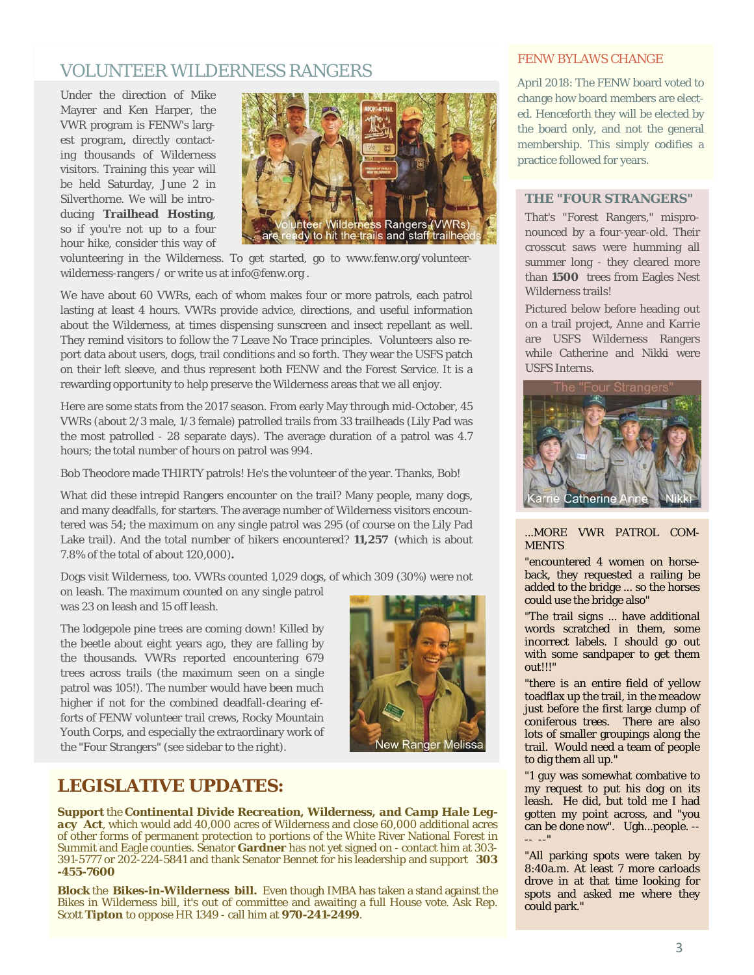## VOLUNTEER WILDERNESS RANGERS

Under the direction of Mike Mayrer and Ken Harper, the VWR program is FENW's largest program, directly contacting thousands of Wilderness visitors. Training this year will be held Saturday, June 2 in Silverthorne. We will be introducing **Trailhead Hosting**, so if you're not up to a four hour hike, consider this way of



volunteering in the Wilderness. To get started, go to www.fenw.org/volunteerwilderness-rangers / or write us at info@fenw.org .

We have about 60 VWRs, each of whom makes four or more patrols, each patrol lasting at least 4 hours. VWRs provide advice, directions, and useful information about the Wilderness, at times dispensing sunscreen and insect repellant as well. They remind visitors to follow the 7 Leave No Trace principles. Volunteers also report data about users, dogs, trail conditions and so forth. They wear the USFS patch on their left sleeve, and thus represent both FENW and the Forest Service. It is a rewarding opportunity to help preserve the Wilderness areas that we all enjoy.

Here are some stats from the 2017 season. From early May through mid-October, 45 VWRs (about 2/3 male, 1/3 female) patrolled trails from 33 trailheads (Lily Pad was the most patrolled - 28 separate days). The average duration of a patrol was 4.7 hours; the total number of hours on patrol was 994.

Bob Theodore made THIRTY patrols! He's the volunteer of the year. Thanks, Bob!

What did these intrepid Rangers encounter on the trail? Many people, many dogs, and many deadfalls, for starters. The average number of Wilderness visitors encountered was 54; the maximum on any single patrol was 295 (of course on the Lily Pad Lake trail). And the total number of hikers encountered? **11,257** (which is about 7.8% of the total of about 120,000)**.**

Dogs visit Wilderness, too. VWRs counted 1,029 dogs, of which 309 (30%) were not

on leash. The maximum counted on any single patrol was 23 on leash and 15 off leash.

The lodgepole pine trees are coming down! Killed by the beetle about eight years ago, they are falling by the thousands. VWRs reported encountering 679 trees across trails (the maximum seen on a single patrol was 105!). The number would have been much higher if not for the combined deadfall-clearing efforts of FENW volunteer trail crews, Rocky Mountain Youth Corps, and especially the extraordinary work of the "Four Strangers" (see sidebar to the right).



## **LEGISLATIVE UPDATES:**

**Support** the *Continental Divide Recreation, Wilderness, and Camp Hale Legacy Act*, which would add 40,000 acres of Wilderness and close 60,000 additional acres of other forms of permanent protection to portions of the White River National Forest in Summit and Eagle counties. Senator **Gardner** has not yet signed on - contact him at 303- 391-5777 or 202-224-5841 and thank Senator Bennet for his leadership and support **303 -455-7600** 

**Block** the *Bikes-in-Wilderness bill.* Even though IMBA has taken a stand against the Bikes in Wilderness bill, it's out of committee and awaiting a full House vote. Ask Rep. Scott **Tipton** to oppose HR 1349 - call him at **970-241-2499**.

#### FENW BYLAWS CHANGE

April 2018: The FENW board voted to change how board members are elected. Henceforth they will be elected by the board only, and not the general membership. This simply codifies a practice followed for years.

#### **THE "FOUR STRANGERS"**

That's "Forest Rangers," mispronounced by a four-year-old. Their crosscut saws were humming all summer long - they cleared more than **1500** trees from Eagles Nest Wilderness trails!

Pictured below before heading out on a trail project, Anne and Karrie are USFS Wilderness Rangers while Catherine and Nikki were USFS Interns.



#### ...MORE VWR PATROL COM-**MENTS**

"encountered 4 women on horseback, they requested a railing be added to the bridge ... so the horses could use the bridge also"

"The trail signs ... have additional words scratched in them, some incorrect labels. I should go out with some sandpaper to get them out!!!"

"there is an entire field of yellow toadflax up the trail, in the meadow just before the first large clump of coniferous trees. There are also lots of smaller groupings along the trail. Would need a team of people to dig them all up."

"1 guy was somewhat combative to my request to put his dog on its leash. He did, but told me I had gotten my point across, and "you can be done now". Ugh...people. -- -- --"

spots and asked me where they "All parking spots were taken by 8:40a.m. At least 7 more carloads drove in at that time looking for could park."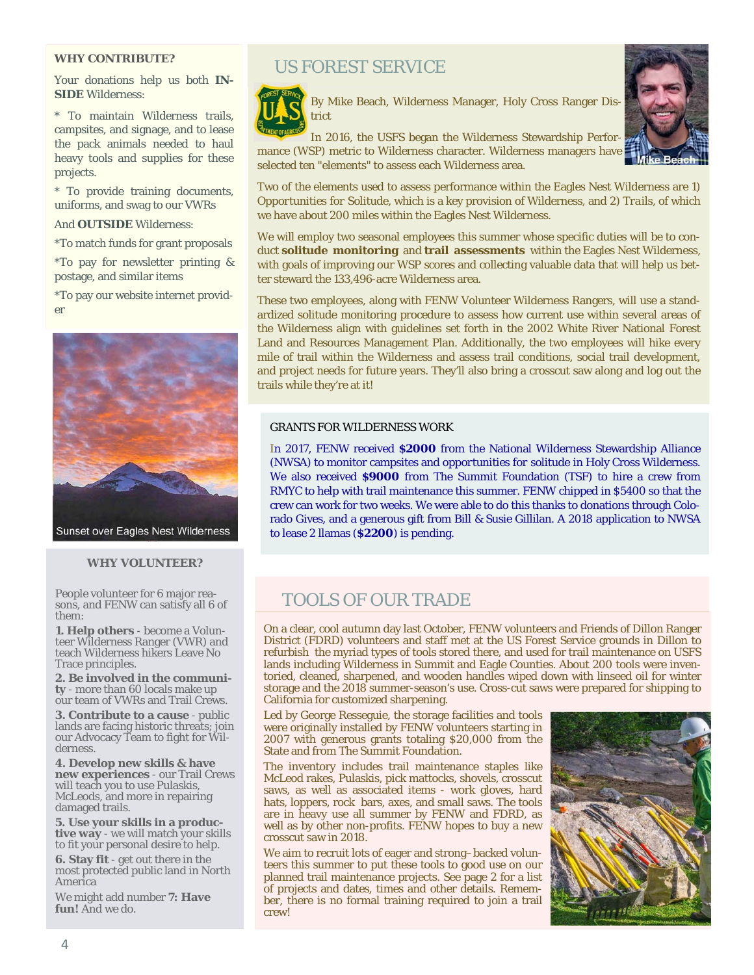#### **WHY CONTRIBUTE?**

Your donations help us both **IN-SIDE** Wilderness:

\* To maintain Wilderness trails, campsites, and signage, and to lease the pack animals needed to haul heavy tools and supplies for these projects.

\* To provide training documents, uniforms, and swag to our VWRs

And **OUTSIDE** Wilderness:

\*To match funds for grant proposals

\*To pay for newsletter printing & postage, and similar items

\*To pay our website internet provider



#### **WHY VOLUNTEER?**

People volunteer for 6 major reasons, and FENW can satisfy all 6 of them:

**1. Help others** - become a Volunteer Wilderness Ranger (VWR) and teach Wilderness hikers Leave No Trace principles.

**2. Be involved in the community** - more than 60 locals make up our team of VWRs and Trail Crews.

**3. Contribute to a cause** - public lands are facing historic threats; join our Advocacy Team to fight for Wilderness.

**4. Develop new skills & have new experiences** - our Trail Crews will teach you to use Pulaskis, McLeods, and more in repairing damaged trails.

**5. Use your skills in a productive way** - we will match your skills to fit your personal desire to help.

**6. Stay fit** - get out there in the most protected public land in North America

 We might add number **7: Have fun!** And we do.

## US FOREST SERVICE



By Mike Beach, Wilderness Manager, Holy Cross Ranger District



Two of the elements used to assess performance within the Eagles Nest Wilderness are 1) *Opportunities for Solitude*, which is a key provision of Wilderness, and 2) *Trails*, of which we have about 200 miles within the Eagles Nest Wilderness.

We will employ two seasonal employees this summer whose specific duties will be to conduct **solitude monitoring** and **trail assessments** within the Eagles Nest Wilderness, with goals of improving our WSP scores and collecting valuable data that will help us better steward the 133,496-acre Wilderness area.

These two employees, along with FENW Volunteer Wilderness Rangers, will use a standardized solitude monitoring procedure to assess how current use within several areas of the Wilderness align with guidelines set forth in the 2002 White River National Forest Land and Resources Management Plan. Additionally, the two employees will hike every mile of trail within the Wilderness and assess trail conditions, social trail development, and project needs for future years. They'll also bring a crosscut saw along and log out the trails while they're at it!

#### GRANTS FOR WILDERNESS WORK

In 2017, FENW received **\$2000** from the National Wilderness Stewardship Alliance (NWSA) to monitor campsites and *opportunities for solitude* in Holy Cross Wilderness. We also received **\$9000** from The Summit Foundation (TSF) to hire a crew from RMYC to help with trail maintenance this summer. FENW chipped in \$5400 so that the crew can work for two weeks. We were able to do this thanks to donations through Colorado Gives, and a generous gift from Bill & Susie Gillilan. A 2018 application to NWSA to lease 2 llamas (**\$2200**) is pending.

## TOOLS OF OUR TRADE

On a clear, cool autumn day last October, FENW volunteers and Friends of Dillon Ranger District (FDRD) volunteers and staff met at the US Forest Service grounds in Dillon to refurbish the myriad types of tools stored there, and used for trail maintenance on USFS lands including Wilderness in Summit and Eagle Counties. About 200 tools were inventoried, cleaned, sharpened, and wooden handles wiped down with linseed oil for winter storage and the 2018 summer-season's use. Cross-cut saws were prepared for shipping to California for customized sharpening.

Led by George Resseguie, the storage facilities and tools were originally installed by FENW volunteers starting in 2007 with generous grants totaling \$20,000 from the State and from The Summit Foundation.

The inventory includes trail maintenance staples like McLeod rakes, Pulaskis, pick mattocks, shovels, crosscut saws, as well as associated items - work gloves, hard hats, loppers, rock bars, axes, and small saws. The tools are in heavy use all summer by FENW and FDRD, as well as by other non-profits. FENW hopes to buy a new crosscut saw in 2018.

We aim to recruit lots of eager and strong–backed volunteers this summer to put these tools to good use on our planned trail maintenance projects. See page 2 for a list of projects and dates, times and other details. Remember, there is no formal training required to join a trail crew!

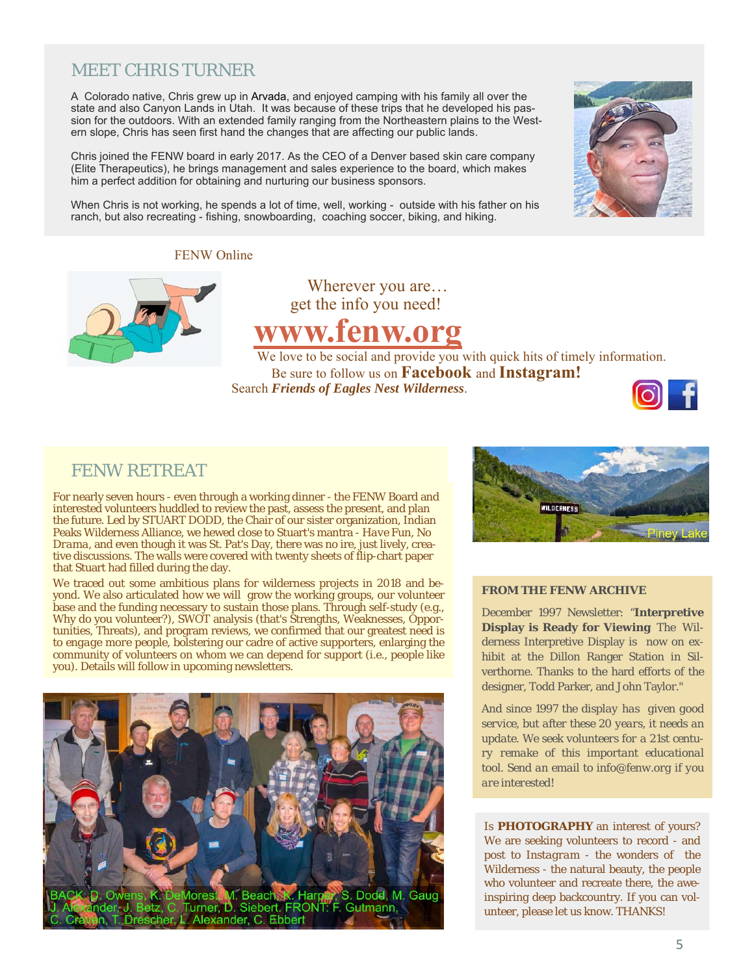## MEET CHRIS TURNER

A Colorado native, Chris grew up in Arvada, and enjoyed camping with his family all over the state and also Canyon Lands in Utah. It was because of these trips that he developed his passion for the outdoors. With an extended family ranging from the Northeastern plains to the Western slope, Chris has seen first hand the changes that are affecting our public lands.

Chris joined the FENW board in early 2017. As the CEO of a Denver based skin care company (Elite Therapeutics), he brings management and sales experience to the board, which makes him a perfect addition for obtaining and nurturing our business sponsors.

When Chris is not working, he spends a lot of time, well, working - outside with his father on his ranch, but also recreating - fishing, snowboarding, coaching soccer, biking, and hiking.

FENW Online



 Wherever you are… get the info you need!

## **www.fenw.org**

We love to be social and provide you with quick hits of timely information. Be sure to follow us on **Facebook** and **Instagram!** Search *Friends of Eagles Nest Wilderness*.



## FENW RETREAT

For nearly seven hours - even through a working dinner - the FENW Board and interested volunteers huddled to review the past, assess the present, and plan the future. Led by STUART DODD, the Chair of our sister organization, Indian Peaks Wilderness Alliance, we hewed close to Stuart's mantra - *Have Fun, No Drama*, and even though it was St. Pat's Day, there was no ire, just lively, creative discussions. The walls were covered with twenty sheets of flip-chart paper that Stuart had filled during the day.

We traced out some ambitious plans for wilderness projects in 2018 and beyond. We also articulated how we will grow the working groups, our volunteer base and the funding necessary to sustain those plans. Through self-study (e.g., Why do you volunteer?), SWOT analysis (that's Strengths, Weaknesses, Opportunities, Threats), and program reviews, we confirmed that our greatest need is to *engage more people*, bolstering our cadre of active supporters, enlarging the community of volunteers on whom we can depend for support (i.e., people like you). Details will follow in upcoming newsletters.





#### **FROM THE FENW ARCHIVE**

December 1997 Newsletter: "**Interpretive Display is Ready for Viewing** The Wilderness Interpretive Display is now on exhibit at the Dillon Ranger Station in Silverthorne. Thanks to the hard efforts of the designer, Todd Parker, and John Taylor."

*And since 1997 the display has given good service, but after these 20 years, it needs an update. We seek volunteers for a 21st century remake of this important educational tool. Send an email to info@fenw.org if you are interested!* 

Is **PHOTOGRAPHY** an interest of yours? We are seeking volunteers to record - and post to *Instagram* - the wonders of the Wilderness - the natural beauty, the people who volunteer and recreate there, the aweinspiring deep backcountry. If you can volunteer, please let us know. THANKS!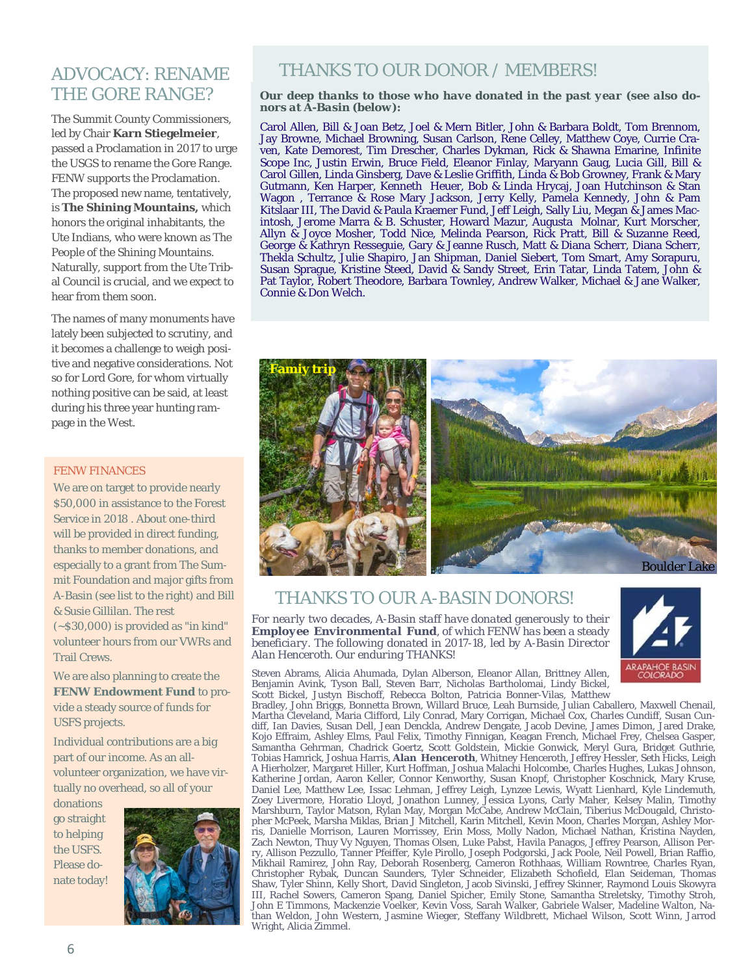## ADVOCACY: RENAME THE GORE RANGE?

The Summit County Commissioners, led by Chair **Karn Stiegelmeier**, passed a Proclamation in 2017 to urge the USGS to rename the Gore Range. FENW supports the Proclamation. The proposed new name, tentatively, is **The Shining Mountains,** which honors the original inhabitants, the Ute Indians, who were known as The People of the Shining Mountains. Naturally, support from the Ute Tribal Council is crucial, and we expect to hear from them soon.

The names of many monuments have lately been subjected to scrutiny, and it becomes a challenge to weigh positive and negative considerations. Not so for Lord Gore, for whom virtually nothing positive can be said, at least during his three year hunting rampage in the West.

#### FENW FINANCES

We are on target to provide nearly \$50,000 in assistance to the Forest Service in 2018 . About one-third will be provided in direct funding, thanks to member donations, and especially to a grant from The Summit Foundation and major gifts from A-Basin (see list to the right) and Bill & Susie Gillilan. The rest (~\$30,000) is provided as "in kind" volunteer hours from our VWRs and Trail Crews.

We are also planning to create the **FENW Endowment Fund** to provide a steady source of funds for USFS projects.

Individual contributions are a big part of our income. As an allvolunteer organization, we have virtually no overhead, so all of your

donations go straight to helping the USFS. Please donate today!



## THANKS TO OUR DONOR / MEMBERS!

#### *Our deep thanks to those who have donated in the past year (see also donors at A-Basin (below):*

Carol Allen, Bill & Joan Betz, Joel & Mern Bitler, John & Barbara Boldt, Tom Brennom, Jay Browne, Michael Browning, Susan Carlson, Rene Celley, Matthew Coye, Currie Craven, Kate Demorest, Tim Drescher, Charles Dykman, Rick & Shawna Emarine, Infinite Scope Inc, Justin Erwin, Bruce Field, Eleanor Finlay, Maryann Gaug, Lucia Gill, Bill & Carol Gillen, Linda Ginsberg, Dave & Leslie Griffith, Linda & Bob Growney, Frank & Mary Gutmann, Ken Harper, Kenneth Heuer, Bob & Linda Hrycaj, Joan Hutchinson & Stan Wagon , Terrance & Rose Mary Jackson, Jerry Kelly, Pamela Kennedy, John & Pam Kitslaar III, The David & Paula Kraemer Fund, Jeff Leigh, Sally Liu, Megan & James Macintosh, Jerome Marra & B. Schuster, Howard Mazur, Augusta Molnar, Kurt Morscher, Allyn & Joyce Mosher, Todd Nice, Melinda Pearson, Rick Pratt, Bill & Suzanne Reed, George & Kathryn Resseguie, Gary & Jeanne Rusch, Matt & Diana Scherr, Diana Scherr, Thekla Schultz, Julie Shapiro, Jan Shipman, Daniel Siebert, Tom Smart, Amy Sorapuru, Susan Sprague, Kristine Steed, David & Sandy Street, Erin Tatar, Linda Tatem, John & Pat Taylor, Robert Theodore, Barbara Townley, Andrew Walker, Michael & Jane Walker, Connie & Don Welch.



## THANKS TO OUR A-BASIN DONORS!

*For nearly two decades, A-Basin staff have donated generously to their Employee Environmental Fund, of which FENW has been a steady beneficiary. The following donated in 2017-18, led by A-Basin Director Alan Henceroth. Our enduring THANKS!* 



Steven Abrams, Alicia Ahumada, Dylan Alberson, Eleanor Allan, Brittney Allen, Benjamin Avink, Tyson Ball, Steven Barr, Nicholas Bartholomai, Lindy Bickel, Scott Bickel, Justyn Bischoff, Rebecca Bolton, Patricia Bonner-Vilas, Matthew

Bradley, John Briggs, Bonnetta Brown, Willard Bruce, Leah Burnside, Julian Caballero, Maxwell Chenail, Martha Cleveland, Maria Clifford, Lily Conrad, Mary Corrigan, Michael Cox, Charles Cundiff, Susan Cundiff, Ian Davies, Susan Dell, Jean Denckla, Andrew Dengate, Jacob Devine, James Dimon, Jared Drake, Kojo Effraim, Ashley Elms, Paul Felix, Timothy Finnigan, Keagan French, Michael Frey, Chelsea Gasper, Samantha Gehrman, Chadrick Goertz, Scott Goldstein, Mickie Gonwick, Meryl Gura, Bridget Guthrie, Tobias Hamrick, Joshua Harris, **Alan Henceroth**, Whitney Henceroth, Jeffrey Hessler, Seth Hicks, Leigh A Hierholzer, Margaret Hiller, Kurt Hoffman, Joshua Malachi Holcombe, Charles Hughes, Lukas Johnson, Katherine Jordan, Aaron Keller, Connor Kenworthy, Susan Knopf, Christopher Koschnick, Mary Kruse, Daniel Lee, Matthew Lee, Issac Lehman, Jeffrey Leigh, Lynzee Lewis, Wyatt Lienhard, Kyle Lindemuth, Zoey Livermore, Horatio Lloyd, Jonathon Lunney, Jessica Lyons, Carly Maher, Kelsey Malin, Timothy Marshburn, Taylor Matson, Rylan May, Morgan McCabe, Andrew McClain, Tiberius McDougald, Christopher McPeek, Marsha Miklas, Brian J Mitchell, Karin Mitchell, Kevin Moon, Charles Morgan, Ashley Morris, Danielle Morrison, Lauren Morrissey, Erin Moss, Molly Nadon, Michael Nathan, Kristina Nayden, Zach Newton, Thuy Vy Nguyen, Thomas Olsen, Luke Pabst, Havila Panagos, Jeffrey Pearson, Allison Perry, Allison Pezzullo, Tanner Pfeiffer, Kyle Pirollo, Joseph Podgorski, Jack Poole, Neil Powell, Brian Raffio, Mikhail Ramirez, John Ray, Deborah Rosenberg, Cameron Rothhaas, William Rowntree, Charles Ryan, Christopher Rybak, Duncan Saunders, Tyler Schneider, Elizabeth Schofield, Elan Seideman, Thomas Shaw, Tyler Shinn, Kelly Short, David Singleton, Jacob Sivinski, Jeffrey Skinner, Raymond Louis Skowyra III, Rachel Sowers, Cameron Spang, Daniel Spicher, Emily Stone, Samantha Streletsky, Timothy Stroh, John E Timmons, Mackenzie Voelker, Kevin Voss, Sarah Walker, Gabriele Walser, Madeline Walton, Nathan Weldon, John Western, Jasmine Wieger, Steffany Wildbrett, Michael Wilson, Scott Winn, Jarrod Wright, Alicia Zimmel.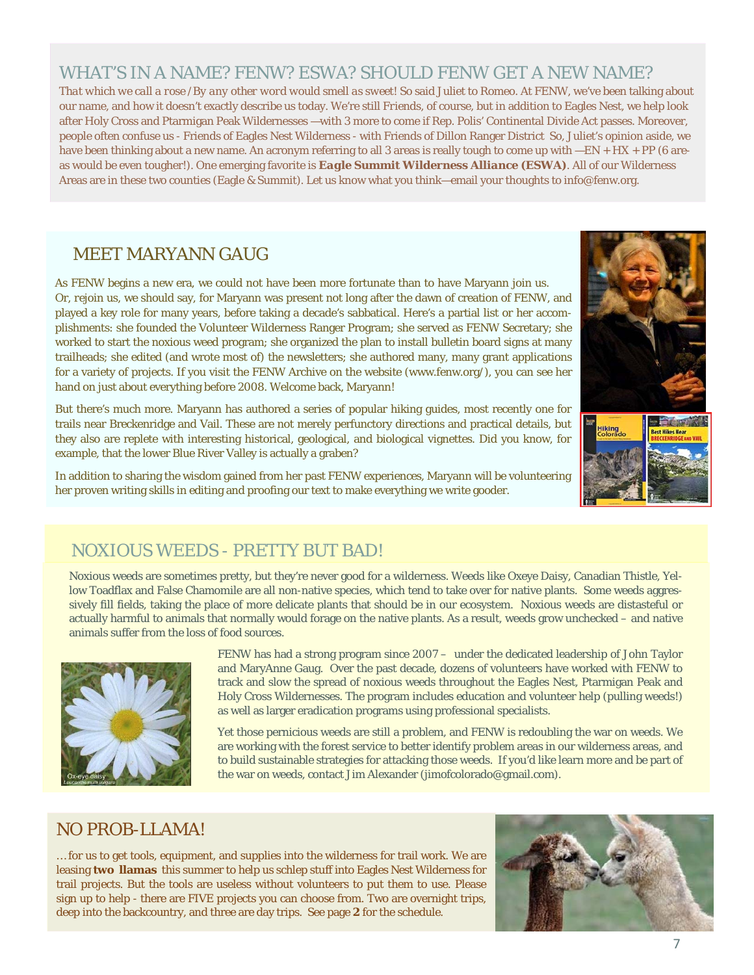## WHAT'S IN A NAME? FENW? ESWA? SHOULD FENW GET A NEW NAME?

*That which we call a rose /By any other word would smell as sweet!* So said Juliet to Romeo. At FENW, we've been talking about our name, and how it doesn't exactly describe us today. We're still *Friends*, of course, but in addition to Eagles Nest, we help look after Holy Cross and Ptarmigan Peak Wildernesses —with 3 more to come if Rep. Polis' Continental Divide Act passes. Moreover, people often confuse us - Friends of Eagles Nest Wilderness - with Friends of Dillon Ranger District So, Juliet's opinion aside, we have been thinking about a new name. An acronym referring to all 3 areas is really tough to come up with  $-EN + HX + PP$  (6 areas would be even tougher!). One emerging favorite is *Eagle Summit Wilderness Alliance* **(ESWA)**. All of our Wilderness Areas are in these two counties (Eagle & Summit). Let us know what you think—email your thoughts to info@fenw.org.

## MEET MARYANN GAUG

As FENW begins a new era, we could not have been more fortunate than to have Maryann join us. Or, *rejoin* us, we should say, for Maryann was present not long after the dawn of creation of FENW, and played a key role for many years, before taking a decade's sabbatical. Here's a partial list or her accomplishments: she founded the Volunteer Wilderness Ranger Program; she served as FENW Secretary; she worked to start the noxious weed program; she organized the plan to install bulletin board signs at many trailheads; she edited (and wrote most of) the newsletters; she authored many, many grant applications for a variety of projects. If you visit the FENW Archive on the website (www.fenw.org/), you can see her hand on just about everything before 2008. Welcome back, Maryann!

But there's much more. Maryann has authored a series of popular hiking guides, most recently one for trails near Breckenridge and Vail. These are not merely perfunctory directions and practical details, but they also are replete with interesting historical, geological, and biological vignettes. Did you know, for example, that the lower Blue River Valley is actually a graben?

In addition to sharing the wisdom gained from her past FENW experiences, Maryann will be volunteering her proven writing skills in editing and proofing our text to make everything we write gooder.





## NOXIOUS WEEDS - PRETTY BUT BAD!

Noxious weeds are sometimes pretty, but they're never good for a wilderness. Weeds like Oxeye Daisy, Canadian Thistle, Yellow Toadflax and False Chamomile are all non-native species, which tend to take over for native plants. Some weeds aggressively fill fields, taking the place of more delicate plants that should be in our ecosystem. Noxious weeds are distasteful or actually harmful to animals that normally would forage on the native plants. As a result, weeds grow unchecked – and native animals suffer from the loss of food sources.



FENW has had a strong program since 2007 – under the dedicated leadership of John Taylor and MaryAnne Gaug. Over the past decade, dozens of volunteers have worked with FENW to track and slow the spread of noxious weeds throughout the Eagles Nest, Ptarmigan Peak and Holy Cross Wildernesses. The program includes education and volunteer help (pulling weeds!) as well as larger eradication programs using professional specialists.

Yet those pernicious weeds are still a problem, and FENW is redoubling the war on weeds. We are working with the forest service to better identify problem areas in our wilderness areas, and to build sustainable strategies for attacking those weeds. If you'd like learn more and be part of the war on weeds, contact Jim Alexander (jimofcolorado@gmail.com).

## NO PROB-LLAMA!

… for us to get tools, equipment, and supplies into the wilderness for trail work. We are leasing **two llamas** this summer to help us schlep stuff into Eagles Nest Wilderness for trail projects. But the tools are useless without volunteers to put them to use. Please sign up to help - there are FIVE projects you can choose from. Two are overnight trips, deep into the backcountry, and three are day trips. See page **2** for the schedule.